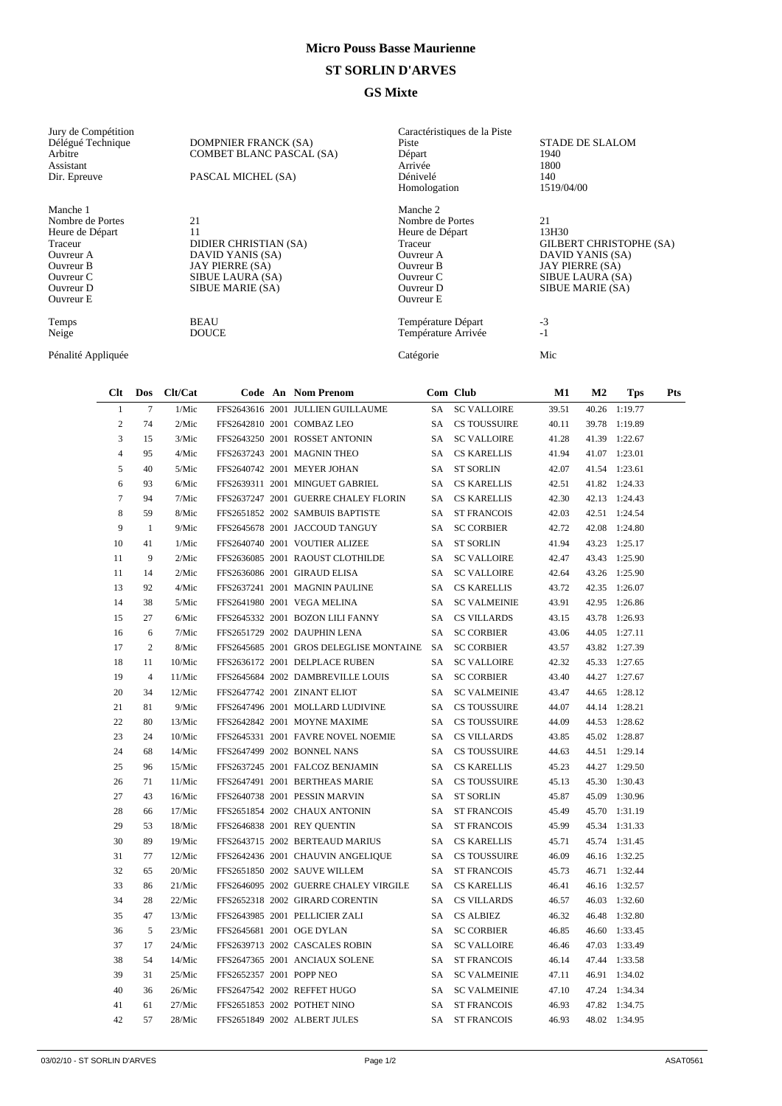## **ST SORLIN D'ARVES**

## **GS Mixte**

| Jury de Compétition<br>Délégué Technique<br>Arbitre<br>Assistant<br>Dir. Epreuve | DOMPNIER FRANCK (SA)<br>COMBET BLANC PASCAL (SA)<br>PASCAL MICHEL (SA) | Caractéristiques de la Piste<br>Piste<br>Départ<br>Arrivée<br>Dénivelé<br>Homologation | <b>STADE DE SLALOM</b><br>1940<br>1800<br>140<br>1519/04/00 |
|----------------------------------------------------------------------------------|------------------------------------------------------------------------|----------------------------------------------------------------------------------------|-------------------------------------------------------------|
| Manche 1                                                                         |                                                                        | Manche 2                                                                               |                                                             |
| Nombre de Portes                                                                 | 21                                                                     | Nombre de Portes                                                                       | 21                                                          |
| Heure de Départ                                                                  | 11                                                                     | Heure de Départ                                                                        | 13H30                                                       |
| Traceur                                                                          | DIDIER CHRISTIAN (SA)                                                  | Traceur                                                                                | <b>GILBERT CHRISTOPHE (SA)</b>                              |
| Ouvreur A                                                                        | DAVID YANIS (SA)                                                       | Ouvreur A                                                                              | DAVID YANIS (SA)                                            |
| Ouvreur B                                                                        | JAY PIERRE (SA)                                                        | Ouvreur B                                                                              | <b>JAY PIERRE (SA)</b>                                      |
| Ouvreur C                                                                        | SIBUE LAURA (SA)                                                       | Ouvreur C                                                                              | SIBUE LAURA (SA)                                            |
| Ouvreur D                                                                        | SIBUE MARIE (SA)                                                       | Ouvreur D                                                                              | SIBUE MARIE (SA)                                            |
| Ouvreur E                                                                        |                                                                        | Ouvreur E                                                                              |                                                             |
| Temps                                                                            | <b>BEAU</b>                                                            | Température Départ                                                                     | $-3$                                                        |
| Neige                                                                            | <b>DOUCE</b>                                                           | Température Arrivée                                                                    | $-1$                                                        |
| Pénalité Appliquée                                                               |                                                                        | Catégorie                                                                              | Mic                                                         |

| $Cl$ t         | Dos            | Clt/Cat |                          | Code An Nom Prenom                      |           | Com Club            | $\mathbf{M1}$ | M <sub>2</sub> | <b>Tps</b>    | Pts |
|----------------|----------------|---------|--------------------------|-----------------------------------------|-----------|---------------------|---------------|----------------|---------------|-----|
| $\,1$          | $\overline{7}$ | 1/Mic   |                          | FFS2643616 2001 JULLIEN GUILLAUME       | <b>SA</b> | <b>SC VALLOIRE</b>  | 39.51         |                | 40.26 1:19.77 |     |
| $\overline{c}$ | 74             | 2/Mic   |                          | FFS2642810 2001 COMBAZ LEO              | <b>SA</b> | <b>CS TOUSSUIRE</b> | 40.11         |                | 39.78 1:19.89 |     |
| 3              | 15             | 3/Mic   |                          | FFS2643250 2001 ROSSET ANTONIN          | SA        | <b>SC VALLOIRE</b>  | 41.28         |                | 41.39 1:22.67 |     |
| $\overline{4}$ | 95             | 4/Mic   |                          | FFS2637243 2001 MAGNIN THEO             |           | SA CS KARELLIS      | 41.94         |                | 41.07 1:23.01 |     |
| 5              | 40             | 5/Mic   |                          | FFS2640742 2001 MEYER JOHAN             | SA.       | <b>ST SORLIN</b>    | 42.07         |                | 41.54 1:23.61 |     |
| 6              | 93             | 6/Mic   |                          | FFS2639311 2001 MINGUET GABRIEL         | SA        | <b>CS KARELLIS</b>  | 42.51         |                | 41.82 1:24.33 |     |
| $\overline{7}$ | 94             | 7/Mic   |                          | FFS2637247 2001 GUERRE CHALEY FLORIN    | SA.       | <b>CS KARELLIS</b>  | 42.30         |                | 42.13 1:24.43 |     |
| $\,8\,$        | 59             | 8/Mic   |                          | FFS2651852 2002 SAMBUIS BAPTISTE        | SA        | <b>ST FRANCOIS</b>  | 42.03         |                | 42.51 1:24.54 |     |
| 9              | $1\,$          | 9/Mic   |                          | FFS2645678 2001 JACCOUD TANGUY          | SA        | <b>SC CORBIER</b>   | 42.72         |                | 42.08 1:24.80 |     |
| 10             | 41             | 1/Mic   |                          | FFS2640740 2001 VOUTIER ALIZEE          | SA        | <b>ST SORLIN</b>    | 41.94         |                | 43.23 1:25.17 |     |
| 11             | 9              | 2/Mic   |                          | FFS2636085 2001 RAOUST CLOTHILDE        | SA        | <b>SC VALLOIRE</b>  | 42.47         |                | 43.43 1:25.90 |     |
| 11             | 14             | 2/Mic   |                          | FFS2636086 2001 GIRAUD ELISA            | SA        | <b>SC VALLOIRE</b>  | 42.64         |                | 43.26 1:25.90 |     |
| 13             | 92             | 4/Mic   |                          | FFS2637241 2001 MAGNIN PAULINE          | SA -      | <b>CS KARELLIS</b>  | 43.72         |                | 42.35 1:26.07 |     |
| 14             | 38             | 5/Mic   |                          | FFS2641980 2001 VEGA MELINA             | SA        | <b>SC VALMEINIE</b> | 43.91         |                | 42.95 1:26.86 |     |
| 15             | 27             | 6/Mic   |                          | FFS2645332 2001 BOZON LILI FANNY        | SA.       | <b>CS VILLARDS</b>  | 43.15         |                | 43.78 1:26.93 |     |
| 16             | 6              | 7/Mic   |                          | FFS2651729 2002 DAUPHIN LENA            | SA.       | <b>SC CORBIER</b>   | 43.06         |                | 44.05 1:27.11 |     |
| 17             | $\overline{c}$ | 8/Mic   |                          | FFS2645685 2001 GROS DELEGLISE MONTAINE | <b>SA</b> | <b>SC CORBIER</b>   | 43.57         |                | 43.82 1:27.39 |     |
| 18             | 11             | 10/Mic  |                          | FFS2636172 2001 DELPLACE RUBEN          | SA.       | <b>SC VALLOIRE</b>  | 42.32         |                | 45.33 1:27.65 |     |
| 19             | $\overline{4}$ | 11/Mic  |                          | FFS2645684 2002 DAMBREVILLE LOUIS       | SA        | <b>SC CORBIER</b>   | 43.40         |                | 44.27 1:27.67 |     |
| 20             | 34             | 12/Mic  |                          | FFS2647742 2001 ZINANT ELIOT            | SA        | <b>SC VALMEINIE</b> | 43.47         |                | 44.65 1:28.12 |     |
| 21             | 81             | 9/Mic   |                          | FFS2647496 2001 MOLLARD LUDIVINE        | SA        | <b>CS TOUSSUIRE</b> | 44.07         |                | 44.14 1:28.21 |     |
| 22             | 80             | 13/Mic  |                          | FFS2642842 2001 MOYNE MAXIME            | SA        | <b>CS TOUSSUIRE</b> | 44.09         |                | 44.53 1:28.62 |     |
| 23             | 24             | 10/Mic  |                          | FFS2645331 2001 FAVRE NOVEL NOEMIE      | SA        | <b>CS VILLARDS</b>  | 43.85         |                | 45.02 1:28.87 |     |
| 24             | 68             | 14/Mic  |                          | FFS2647499 2002 BONNEL NANS             | SA        | <b>CS TOUSSUIRE</b> | 44.63         |                | 44.51 1:29.14 |     |
| 25             | 96             | 15/Mic  |                          | FFS2637245 2001 FALCOZ BENJAMIN         | SA        | <b>CS KARELLIS</b>  | 45.23         |                | 44.27 1:29.50 |     |
| 26             | 71             | 11/Mic  |                          | FFS2647491 2001 BERTHEAS MARIE          | SA.       | <b>CS TOUSSUIRE</b> | 45.13         |                | 45.30 1:30.43 |     |
| 27             | 43             | 16/Mic  |                          | FFS2640738 2001 PESSIN MARVIN           | SA        | <b>ST SORLIN</b>    | 45.87         |                | 45.09 1:30.96 |     |
| 28             | 66             | 17/Mic  |                          | FFS2651854 2002 CHAUX ANTONIN           | SA        | <b>ST FRANCOIS</b>  | 45.49         |                | 45.70 1:31.19 |     |
| 29             | 53             | 18/Mic  |                          | FFS2646838 2001 REY QUENTIN             | SA        | <b>ST FRANCOIS</b>  | 45.99         |                | 45.34 1:31.33 |     |
| 30             | 89             | 19/Mic  |                          | FFS2643715 2002 BERTEAUD MARIUS         | SA        | <b>CS KARELLIS</b>  | 45.71         |                | 45.74 1:31.45 |     |
| 31             | 77             | 12/Mic  |                          | FFS2642436 2001 CHAUVIN ANGELIQUE       | SA.       | <b>CS TOUSSUIRE</b> | 46.09         |                | 46.16 1:32.25 |     |
| 32             | 65             | 20/Mic  |                          | FFS2651850 2002 SAUVE WILLEM            | SA        | <b>ST FRANCOIS</b>  | 45.73         |                | 46.71 1:32.44 |     |
| 33             | 86             | 21/Mic  |                          | FFS2646095 2002 GUERRE CHALEY VIRGILE   | SA -      | <b>CS KARELLIS</b>  | 46.41         |                | 46.16 1:32.57 |     |
| 34             | 28             | 22/Mic  |                          | FFS2652318 2002 GIRARD CORENTIN         | SA        | <b>CS VILLARDS</b>  | 46.57         |                | 46.03 1:32.60 |     |
| 35             | 47             | 13/Mic  |                          | FFS2643985 2001 PELLICIER ZALI          | SA        | <b>CS ALBIEZ</b>    | 46.32         |                | 46.48 1:32.80 |     |
| 36             | 5              | 23/Mic  |                          | FFS2645681 2001 OGE DYLAN               | SA        | <b>SC CORBIER</b>   | 46.85         |                | 46.60 1:33.45 |     |
| 37             | 17             | 24/Mic  |                          | FFS2639713 2002 CASCALES ROBIN          | SA.       | <b>SC VALLOIRE</b>  | 46.46         |                | 47.03 1:33.49 |     |
| 38             | 54             | 14/Mic  |                          | FFS2647365 2001 ANCIAUX SOLENE          | SA        | <b>ST FRANCOIS</b>  | 46.14         |                | 47.44 1:33.58 |     |
| 39             | 31             | 25/Mic  | FFS2652357 2001 POPP NEO |                                         | SA.       | <b>SC VALMEINIE</b> | 47.11         |                | 46.91 1:34.02 |     |
| 40             | 36             | 26/Mic  |                          | FFS2647542 2002 REFFET HUGO             | SA        | <b>SC VALMEINIE</b> | 47.10         |                | 47.24 1:34.34 |     |
| 41             | 61             | 27/Mic  |                          | FFS2651853 2002 POTHET NINO             | SA -      | <b>ST FRANCOIS</b>  | 46.93         |                | 47.82 1:34.75 |     |
| 42             | 57             | 28/Mic  |                          | FFS2651849 2002 ALBERT JULES            | SA        | <b>ST FRANCOIS</b>  | 46.93         |                | 48.02 1:34.95 |     |
|                |                |         |                          |                                         |           |                     |               |                |               |     |